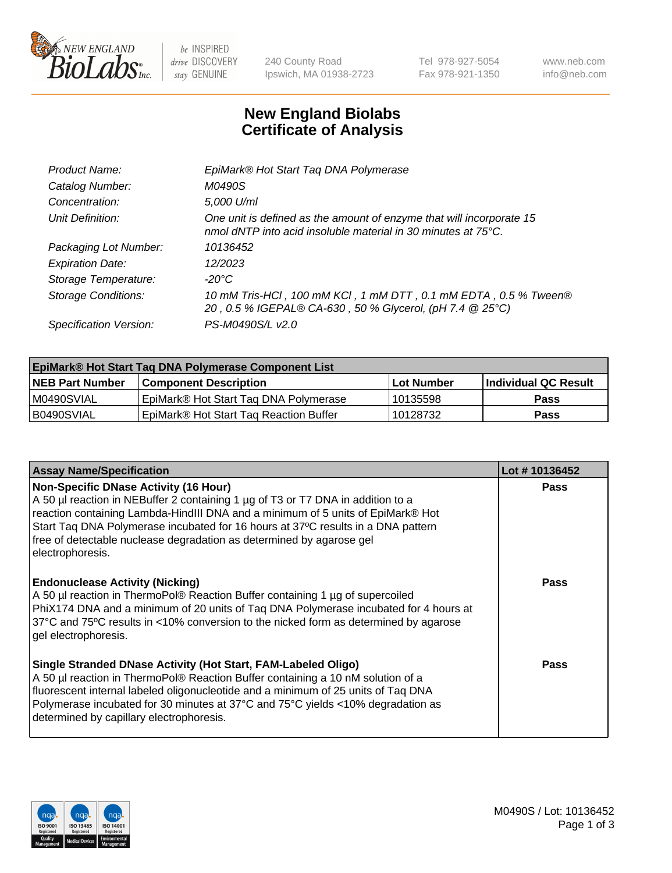

 $be$  INSPIRED drive DISCOVERY stay GENUINE

240 County Road Ipswich, MA 01938-2723 Tel 978-927-5054 Fax 978-921-1350 www.neb.com info@neb.com

## **New England Biolabs Certificate of Analysis**

| EpiMark® Hot Start Tag DNA Polymerase                                                                                                           |
|-------------------------------------------------------------------------------------------------------------------------------------------------|
| M0490S                                                                                                                                          |
| 5,000 U/ml                                                                                                                                      |
| One unit is defined as the amount of enzyme that will incorporate 15<br>nmol dNTP into acid insoluble material in 30 minutes at $75^{\circ}$ C. |
| 10136452                                                                                                                                        |
| 12/2023                                                                                                                                         |
| $-20^{\circ}$ C                                                                                                                                 |
| 10 mM Tris-HCl, 100 mM KCl, 1 mM DTT, 0.1 mM EDTA, 0.5 % Tween®<br>20, 0.5 % IGEPAL® CA-630, 50 % Glycerol, (pH 7.4 @ 25°C)                     |
| PS-M0490S/L v2.0                                                                                                                                |
|                                                                                                                                                 |

| EpiMark® Hot Start Taq DNA Polymerase Component List |                                                    |            |                             |  |  |
|------------------------------------------------------|----------------------------------------------------|------------|-----------------------------|--|--|
| <b>NEB Part Number</b>                               | <b>Component Description</b>                       | Lot Number | <b>Individual QC Result</b> |  |  |
| IM0490SVIAL                                          | EpiMark® Hot Start Tag DNA Polymerase              | 10135598   | <b>Pass</b>                 |  |  |
| B0490SVIAL                                           | EpiMark <sup>®</sup> Hot Start Tag Reaction Buffer | 10128732   | <b>Pass</b>                 |  |  |

| <b>Assay Name/Specification</b>                                                                                                                                                                                                                                                                                                                                                                    | Lot #10136452 |
|----------------------------------------------------------------------------------------------------------------------------------------------------------------------------------------------------------------------------------------------------------------------------------------------------------------------------------------------------------------------------------------------------|---------------|
| <b>Non-Specific DNase Activity (16 Hour)</b><br>A 50 µl reaction in NEBuffer 2 containing 1 µg of T3 or T7 DNA in addition to a<br>reaction containing Lambda-HindIII DNA and a minimum of 5 units of EpiMark® Hot<br>Start Tag DNA Polymerase incubated for 16 hours at 37°C results in a DNA pattern<br>free of detectable nuclease degradation as determined by agarose gel<br>electrophoresis. | <b>Pass</b>   |
| <b>Endonuclease Activity (Nicking)</b><br>A 50 µl reaction in ThermoPol® Reaction Buffer containing 1 µg of supercoiled<br>PhiX174 DNA and a minimum of 20 units of Taq DNA Polymerase incubated for 4 hours at<br>37°C and 75°C results in <10% conversion to the nicked form as determined by agarose<br>gel electrophoresis.                                                                    | <b>Pass</b>   |
| Single Stranded DNase Activity (Hot Start, FAM-Labeled Oligo)<br>A 50 µl reaction in ThermoPol® Reaction Buffer containing a 10 nM solution of a<br>fluorescent internal labeled oligonucleotide and a minimum of 25 units of Taq DNA<br>Polymerase incubated for 30 minutes at 37°C and 75°C yields <10% degradation as<br>determined by capillary electrophoresis.                               | <b>Pass</b>   |

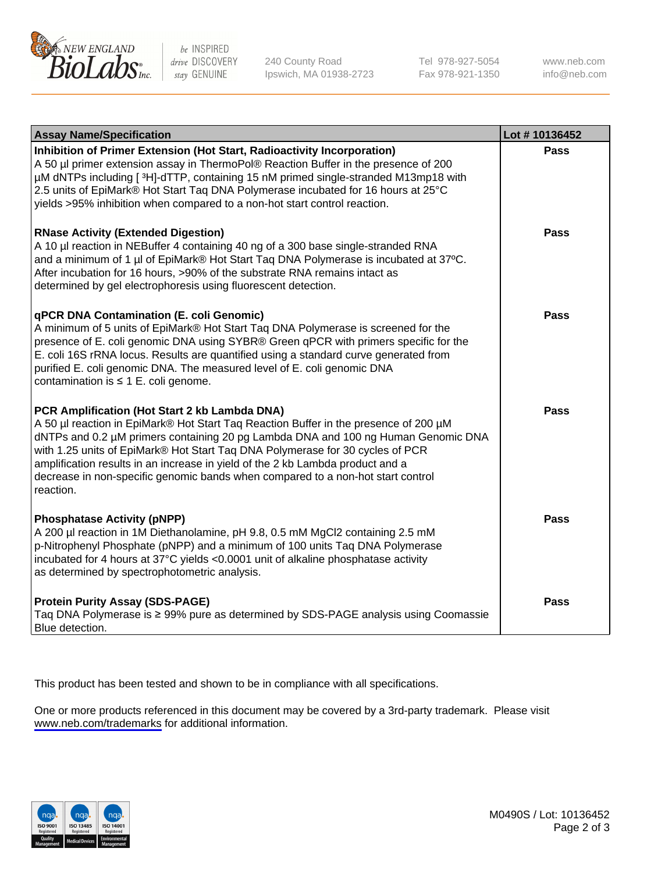

be INSPIRED drive DISCOVERY stay GENUINE

240 County Road Ipswich, MA 01938-2723 Tel 978-927-5054 Fax 978-921-1350

www.neb.com info@neb.com

| <b>Assay Name/Specification</b>                                                                                                                                                                                                                                                                                                                                                                                                                                                               | Lot #10136452 |
|-----------------------------------------------------------------------------------------------------------------------------------------------------------------------------------------------------------------------------------------------------------------------------------------------------------------------------------------------------------------------------------------------------------------------------------------------------------------------------------------------|---------------|
| Inhibition of Primer Extension (Hot Start, Radioactivity Incorporation)<br>A 50 µl primer extension assay in ThermoPol® Reaction Buffer in the presence of 200<br>µM dNTPs including [3H]-dTTP, containing 15 nM primed single-stranded M13mp18 with<br>2.5 units of EpiMark® Hot Start Taq DNA Polymerase incubated for 16 hours at 25°C<br>yields >95% inhibition when compared to a non-hot start control reaction.                                                                        | Pass          |
| <b>RNase Activity (Extended Digestion)</b><br>A 10 µl reaction in NEBuffer 4 containing 40 ng of a 300 base single-stranded RNA<br>and a minimum of 1 µl of EpiMark® Hot Start Taq DNA Polymerase is incubated at 37°C.<br>After incubation for 16 hours, >90% of the substrate RNA remains intact as<br>determined by gel electrophoresis using fluorescent detection.                                                                                                                       | <b>Pass</b>   |
| qPCR DNA Contamination (E. coli Genomic)<br>A minimum of 5 units of EpiMark® Hot Start Taq DNA Polymerase is screened for the<br>presence of E. coli genomic DNA using SYBR® Green qPCR with primers specific for the<br>E. coli 16S rRNA locus. Results are quantified using a standard curve generated from<br>purified E. coli genomic DNA. The measured level of E. coli genomic DNA<br>contamination is $\leq 1$ E. coli genome.                                                         | Pass          |
| PCR Amplification (Hot Start 2 kb Lambda DNA)<br>A 50 µl reaction in EpiMark® Hot Start Taq Reaction Buffer in the presence of 200 µM<br>dNTPs and 0.2 µM primers containing 20 pg Lambda DNA and 100 ng Human Genomic DNA<br>with 1.25 units of EpiMark® Hot Start Taq DNA Polymerase for 30 cycles of PCR<br>amplification results in an increase in yield of the 2 kb Lambda product and a<br>decrease in non-specific genomic bands when compared to a non-hot start control<br>reaction. | <b>Pass</b>   |
| <b>Phosphatase Activity (pNPP)</b><br>A 200 µl reaction in 1M Diethanolamine, pH 9.8, 0.5 mM MgCl2 containing 2.5 mM<br>p-Nitrophenyl Phosphate (pNPP) and a minimum of 100 units Taq DNA Polymerase<br>incubated for 4 hours at 37°C yields <0.0001 unit of alkaline phosphatase activity<br>as determined by spectrophotometric analysis.                                                                                                                                                   | Pass          |
| <b>Protein Purity Assay (SDS-PAGE)</b><br>Taq DNA Polymerase is ≥ 99% pure as determined by SDS-PAGE analysis using Coomassie<br>Blue detection.                                                                                                                                                                                                                                                                                                                                              | <b>Pass</b>   |

This product has been tested and shown to be in compliance with all specifications.

One or more products referenced in this document may be covered by a 3rd-party trademark. Please visit <www.neb.com/trademarks>for additional information.